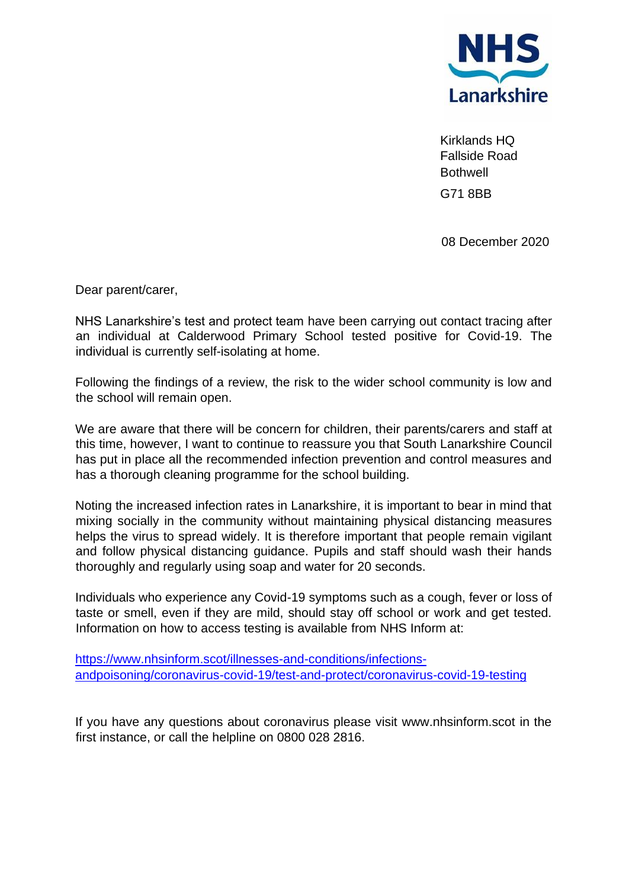

Kirklands HQ Fallside Road **Bothwell** G71 8BB

08 December 2020

Dear parent/carer,

NHS Lanarkshire's test and protect team have been carrying out contact tracing after an individual at Calderwood Primary School tested positive for Covid-19. The individual is currently self-isolating at home.

Following the findings of a review, the risk to the wider school community is low and the school will remain open.

We are aware that there will be concern for children, their parents/carers and staff at this time, however, I want to continue to reassure you that South Lanarkshire Council has put in place all the recommended infection prevention and control measures and has a thorough cleaning programme for the school building.

Noting the increased infection rates in Lanarkshire, it is important to bear in mind that mixing socially in the community without maintaining physical distancing measures helps the virus to spread widely. It is therefore important that people remain vigilant and follow physical distancing guidance. Pupils and staff should wash their hands thoroughly and regularly using soap and water for 20 seconds.

Individuals who experience any Covid-19 symptoms such as a cough, fever or loss of taste or smell, even if they are mild, should stay off school or work and get tested. Information on how to access testing is available from NHS Inform at:

[https://www.nhsinform.scot/illnesses-and-conditions/infections](https://www.nhsinform.scot/illnesses-and-conditions/infections-andpoisoning/coronavirus-covid-19/test-and-protect/coronavirus-covid-19-testing)[andpoisoning/coronavirus-covid-19/test-and-protect/coronavirus-covid-19-testing](https://www.nhsinform.scot/illnesses-and-conditions/infections-andpoisoning/coronavirus-covid-19/test-and-protect/coronavirus-covid-19-testing)

If you have any questions about coronavirus please visit www.nhsinform.scot in the first instance, or call the helpline on 0800 028 2816.